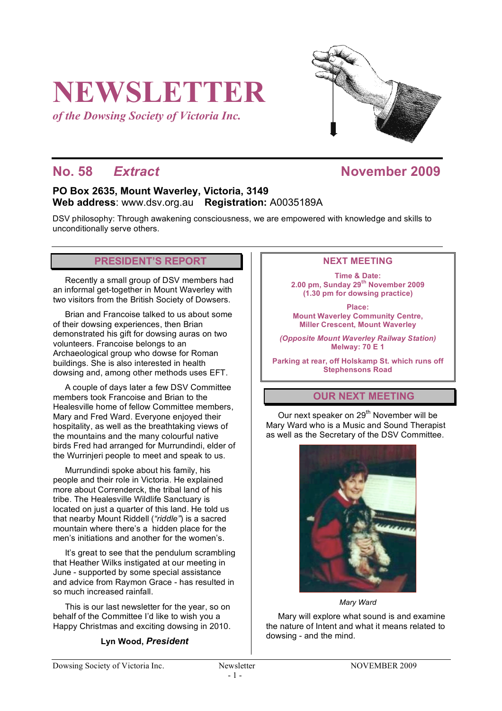# **NEWSLETTER**

*of the Dowsing Society of Victoria Inc.*



# **No. 58** *Extract* **November 2009**

## **PO Box 2635, Mount Waverley, Victoria, 3149 Web address**: www.dsv.org.au **Registration:** A0035189A

DSV philosophy: Through awakening consciousness, we are empowered with knowledge and skills to unconditionally serve others.

#### **PRESIDENT'S REPORT**

Recently a small group of DSV members had an informal get-together in Mount Waverley with two visitors from the British Society of Dowsers.

Brian and Francoise talked to us about some of their dowsing experiences, then Brian demonstrated his gift for dowsing auras on two volunteers. Francoise belongs to an Archaeological group who dowse for Roman buildings. She is also interested in health dowsing and, among other methods uses EFT.

A couple of days later a few DSV Committee members took Francoise and Brian to the Healesville home of fellow Committee members, Mary and Fred Ward. Everyone enjoyed their hospitality, as well as the breathtaking views of the mountains and the many colourful native birds Fred had arranged for Murrundindi, elder of the Wurrinjeri people to meet and speak to us.

Murrundindi spoke about his family, his people and their role in Victoria. He explained more about Correnderck, the tribal land of his tribe. The Healesville Wildlife Sanctuary is located on just a quarter of this land. He told us that nearby Mount Riddell (*"riddle"*) is a sacred mountain where there's a hidden place for the men's initiations and another for the women's.

It's great to see that the pendulum scrambling that Heather Wilks instigated at our meeting in June - supported by some special assistance and advice from Raymon Grace - has resulted in so much increased rainfall.

This is our last newsletter for the year, so on behalf of the Committee I'd like to wish you a Happy Christmas and exciting dowsing in 2010.

#### **Lyn Wood,** *President*

#### **NEXT MEETING**

**Time & Date: 2.00 pm, Sunday 29th November 2009 (1.30 pm for dowsing practice)**

**Place: Mount Waverley Community Centre, Miller Crescent, Mount Waverley**

*(Opposite Mount Waverley Railway Station)* **Melway: 70 E 1**

**Parking at rear, off Holskamp St. which runs off Stephensons Road**

## **OUR NEXT MEETING**

Our next speaker on 29<sup>th</sup> November will be Mary Ward who is a Music and Sound Therapist as well as the Secretary of the DSV Committee.



*Mary Ward*

Mary will explore what sound is and examine the nature of Intent and what it means related to dowsing - and the mind.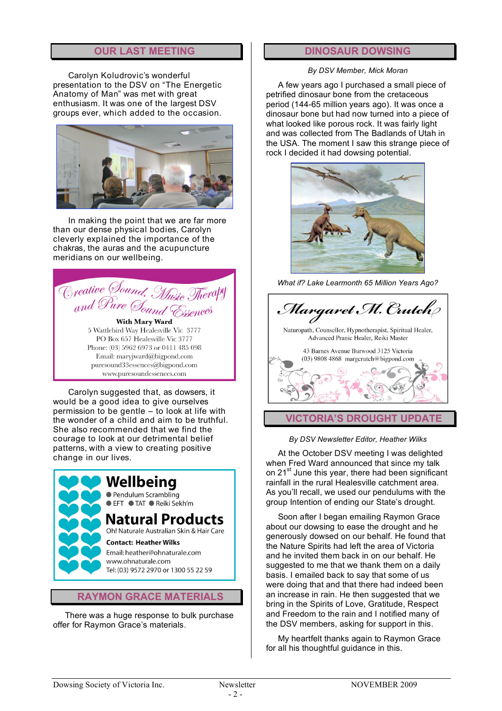## **OUR LAST MEETING**

Carolyn Koludrovic's wonderful presentation to the DSV on "The Energetic Anatomy of Man" was met with great enthusiasm. It was one of the largest DSV groups ever, which added to the occasion.



In making the point that we are far more than our dense physical bodies, Carolyn cleverly explained the importance of the chakras, the auras and the acupuncture meridians on our wellbeing.

Creative Sound, Music Therapy With Mary Ward 5 Wattlebird Way Healesville Vic. 3777 PO Box 657 Healesville Vic 3777 Phone: (03) 5962 6973 or 0411 485 098 Email: marviward@bigpond.com

puresound33essences@bigpond.com

www.puresoundessences.com

Carolyn suggested that, as dowsers, it would be a good idea to give ourselves permission to be gentle – to look at life with the wonder of a child and aim to be truthful. She also recommended that we find the courage to look at our detrimental belief patterns, with a view to creating positive change in our lives.

## Wellbeing ● Pendulum Scrambling EFT TAT Reiki Sekh'm Natural Products Oh! Naturale Australian Skin & Hair Care **Contact: Heather Wilks**

Email: heather@ohnaturale.com www.ohnaturale.com Tel: (03) 9572 2970 or 1300 55 22 59

#### **RAYMON GRACE MATERIALS**

There was a huge response to bulk purchase offer for Raymon Grace's materials.

### **DINOSAUR DOWSING**

#### *By DSV Member, Mick Moran*

A few years ago I purchased a small piece of petrified dinosaur bone from the cretaceous period (144-65 million years ago). It was once a dinosaur bone but had now turned into a piece of what looked like porous rock. It was fairly light and was collected from The Badlands of Utah in the USA. The moment I saw this strange piece of rock I decided it had dowsing potential.



*What if? Lake Learmonth 65 Million Years Ago?*



#### *By DSV Newsletter Editor, Heather Wilks*

At the October DSV meeting I was delighted when Fred Ward announced that since my talk on 21<sup>st</sup> June this year, there had been significant rainfall in the rural Healesville catchment area. As you'll recall, we used our pendulums with the group Intention of ending our State's drought.

Soon after I began emailing Raymon Grace about our dowsing to ease the drought and he generously dowsed on our behalf. He found that the Nature Spirits had left the area of Victoria and he invited them back in on our behalf. He suggested to me that we thank them on a daily basis. I emailed back to say that some of us were doing that and that there had indeed been an increase in rain. He then suggested that we bring in the Spirits of Love, Gratitude, Respect and Freedom to the rain and I notified many of the DSV members, asking for support in this.

My heartfelt thanks again to Raymon Grace for all his thoughtful guidance in this.